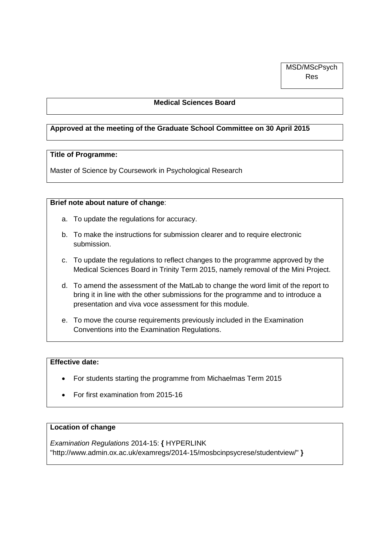#### **Medical Sciences Board**

#### **Approved at the meeting of the Graduate School Committee on 30 April 2015**

#### **Title of Programme:**

Master of Science by Coursework in Psychological Research

#### **Brief note about nature of change**:

- a. To update the regulations for accuracy.
- b. To make the instructions for submission clearer and to require electronic submission.
- c. To update the regulations to reflect changes to the programme approved by the Medical Sciences Board in Trinity Term 2015, namely removal of the Mini Project.
- d. To amend the assessment of the MatLab to change the word limit of the report to bring it in line with the other submissions for the programme and to introduce a presentation and viva voce assessment for this module.
- e. To move the course requirements previously included in the Examination Conventions into the Examination Regulations.

#### **Effective date:**

- For students starting the programme from Michaelmas Term 2015
- For first examination from 2015-16

#### **Location of change**

*Examination Regulations* 2014-15: **{** [HYPERLINK](http://www.admin.ox.ac.uk/examregs/2014-15/mosbcinpsycrese/studentview/)  ["http://www.admin.ox.ac.uk/examregs/2014-15/mosbcinpsycrese/studentview/"](http://www.admin.ox.ac.uk/examregs/2014-15/mosbcinpsycrese/studentview/) **}**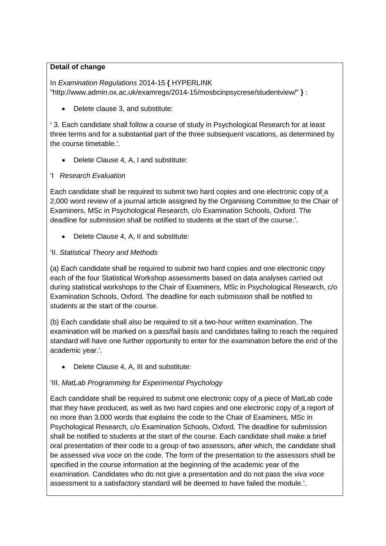### **Detail of change**

In *Examination Regulations* 2014-15 **{** [HYPERLINK](http://www.admin.ox.ac.uk/examregs/2014-15/mosbcinpsycrese/studentview/)  ["http://www.admin.ox.ac.uk/examregs/2014-15/mosbcinpsycrese/studentview/"](http://www.admin.ox.ac.uk/examregs/2014-15/mosbcinpsycrese/studentview/) **}** :

• Delete clause 3, and substitute:

' 3. Each candidate shall follow a course of study in Psychological Research for at least three terms and for a substantial part of the three subsequent vacations, as determined by the course timetable.'.

• Delete Clause 4, A, I and substitute:

## 'I *Research Evaluation*

Each candidate shall be required to submit two hard copies and one electronic copy of a 2,000 word review of a journal article assigned by the Organising Committee to the Chair of Examiners, MSc in Psychological Research, c/o Examination Schools, Oxford. The deadline for submission shall be notified to students at the start of the course.'.

• Delete Clause 4, A, II and substitute:

## 'II. *Statistical Theory and Methods*

(a) Each candidate shall be required to submit two hard copies and one electronic copy each of the four Statistical Workshop assessments based on data analyses carried out during statistical workshops to the Chair of Examiners, MSc in Psychological Research, c/o Examination Schools, Oxford. The deadline for each submission shall be notified to students at the start of the course.

(b) Each candidate shall also be required to sit a two-hour written examination. The examination will be marked on a pass/fail basis and candidates failing to reach the required standard will have one further opportunity to enter for the examination before the end of the academic year.'.

• Delete Clause 4, A, III and substitute:

# 'III. *MatLab Programming for Experimental Psychology*

Each candidate shall be required to submit one electronic copy of a piece of MatLab code that they have produced, as well as two hard copies and one electronic copy of a report of no more than 3,000 words that explains the code to the Chair of Examiners, MSc in Psychological Research, c/o Examination Schools, Oxford. The deadline for submission shall be notified to students at the start of the course. Each candidate shall make a brief oral presentation of their code to a group of two assessors, after which, the candidate shall be assessed *viva voce* on the code. The form of the presentation to the assessors shall be specified in the course information at the beginning of the academic year of the examination. Candidates who do not give a presentation and do not pass the *viva voce* assessment to a satisfactory standard will be deemed to have failed the module.'.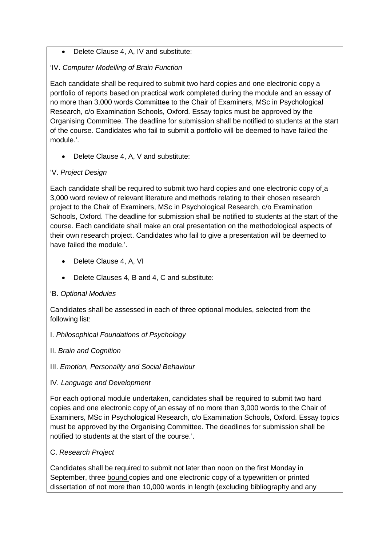## • Delete Clause 4, A, IV and substitute:

## 'IV. *Computer Modelling of Brain Function*

Each candidate shall be required to submit two hard copies and one electronic copy a portfolio of reports based on practical work completed during the module and an essay of no more than 3,000 words Committee to the Chair of Examiners, MSc in Psychological Research, c/o Examination Schools, Oxford. Essay topics must be approved by the Organising Committee. The deadline for submission shall be notified to students at the start of the course. Candidates who fail to submit a portfolio will be deemed to have failed the module.'.

• Delete Clause 4, A, V and substitute:

# 'V. *Project Design*

Each candidate shall be required to submit two hard copies and one electronic copy of a 3,000 word review of relevant literature and methods relating to their chosen research project to the Chair of Examiners, MSc in Psychological Research, c/o Examination Schools, Oxford. The deadline for submission shall be notified to students at the start of the course. Each candidate shall make an oral presentation on the methodological aspects of their own research project. Candidates who fail to give a presentation will be deemed to have failed the module.'.

- Delete Clause 4, A, VI
- Delete Clauses 4, B and 4, C and substitute:

### 'B. *Optional Modules*

Candidates shall be assessed in each of three optional modules, selected from the following list:

### I. *Philosophical Foundations of Psychology*

II. *Brain and Cognition*

### III. *Emotion, Personality and Social Behaviour*

### IV. *Language and Development*

For each optional module undertaken, candidates shall be required to submit two hard copies and one electronic copy of an essay of no more than 3,000 words to the Chair of Examiners, MSc in Psychological Research, c/o Examination Schools, Oxford. Essay topics must be approved by the Organising Committee. The deadlines for submission shall be notified to students at the start of the course.'.

# C. *Research Project*

Candidates shall be required to submit not later than noon on the first Monday in September, three bound copies and one electronic copy of a typewritten or printed dissertation of not more than 10,000 words in length (excluding bibliography and any